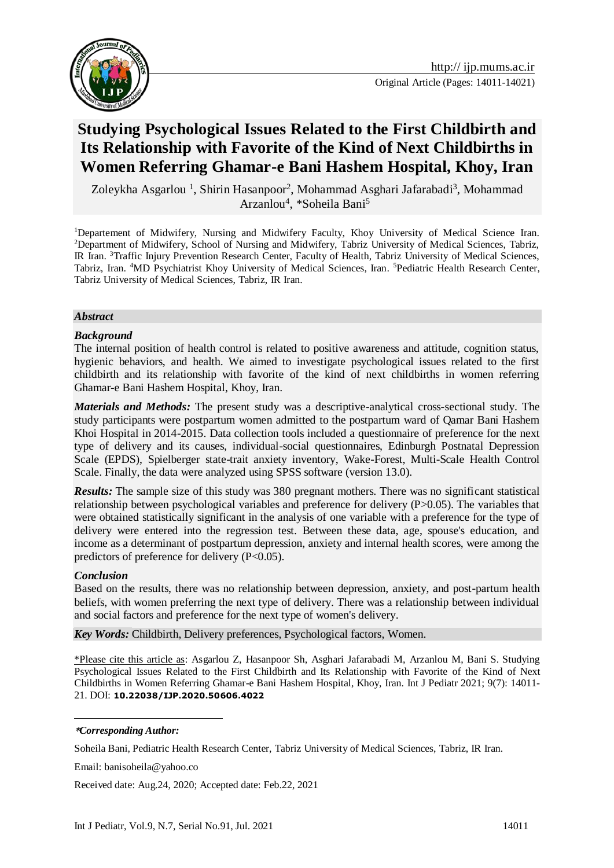

# **Studying Psychological Issues Related to the First Childbirth and Its Relationship with Favorite of the Kind of Next Childbirths in Women Referring Ghamar-e Bani Hashem Hospital, Khoy, Iran**

Zoleykha Asgarlou <sup>1</sup>, Shirin Hasanpoor<sup>2</sup>, Mohammad Asghari Jafarabadi<sup>3</sup>, Mohammad Arzanlou<sup>4</sup>, \*Soheila Bani<sup>5</sup>

<sup>1</sup>Departement of Midwifery, Nursing and Midwifery Faculty, Khoy University of Medical Science Iran. <sup>2</sup>Department of Midwifery, School of Nursing and Midwifery, Tabriz University of Medical Sciences, Tabriz, IR Iran. <sup>3</sup>Traffic Injury Prevention Research Center, Faculty of Health, Tabriz University of Medical Sciences, Tabriz, Iran. <sup>4</sup>MD Psychiatrist Khoy University of Medical Sciences, Iran. <sup>5</sup>Pediatric Health Research Center, Tabriz University of Medical Sciences, Tabriz, IR Iran.

#### *Abstract*

#### *Background*

The internal position of health control is related to positive awareness and attitude, cognition status, hygienic behaviors, and health. We aimed to investigate psychological issues related to the first childbirth and its relationship with favorite of the kind of next childbirths in women referring Ghamar-e Bani Hashem Hospital, Khoy, Iran.

*Materials and Methods:* The present study was a descriptive-analytical cross-sectional study. The study participants were postpartum women admitted to the postpartum ward of Qamar Bani Hashem Khoi Hospital in 2014-2015. Data collection tools included a questionnaire of preference for the next type of delivery and its causes, individual-social questionnaires, Edinburgh Postnatal Depression Scale (EPDS), Spielberger state-trait anxiety inventory, Wake-Forest, Multi-Scale Health Control Scale. Finally, the data were analyzed using SPSS software (version 13.0).

*Results:* The sample size of this study was 380 pregnant mothers. There was no significant statistical relationship between psychological variables and preference for delivery (P>0.05). The variables that were obtained statistically significant in the analysis of one variable with a preference for the type of delivery were entered into the regression test. Between these data, age, spouse's education, and income as a determinant of postpartum depression, anxiety and internal health scores, were among the predictors of preference for delivery (P<0.05).

#### *Conclusion*

Based on the results, there was no relationship between depression, anxiety, and post-partum health beliefs, with women preferring the next type of delivery. There was a relationship between individual and social factors and preference for the next type of women's delivery.

*Key Words:* Childbirth, Delivery preferences, Psychological factors, Women.

\*Please cite this article as: Asgarlou Z, Hasanpoor Sh, Asghari Jafarabadi M, Arzanlou M, Bani S. Studying Psychological Issues Related to the First Childbirth and Its Relationship with Favorite of the Kind of Next Childbirths in Women Referring Ghamar-e Bani Hashem Hospital, Khoy, Iran. Int J Pediatr 2021; 9(7): 14011- 21. DOI: **[10.22038/IJP.2020.50606.4022](https://dx.doi.org/10.22038/ijp.2020.50606.4022)**

#### **\****Corresponding Author:*

<u>.</u>

Soheila Bani, Pediatric Health Research Center, Tabriz University of Medical Sciences, Tabriz, IR Iran.

Email: banisoheila@yahoo.co

Received date: Aug.24, 2020; Accepted date: Feb.22, 2021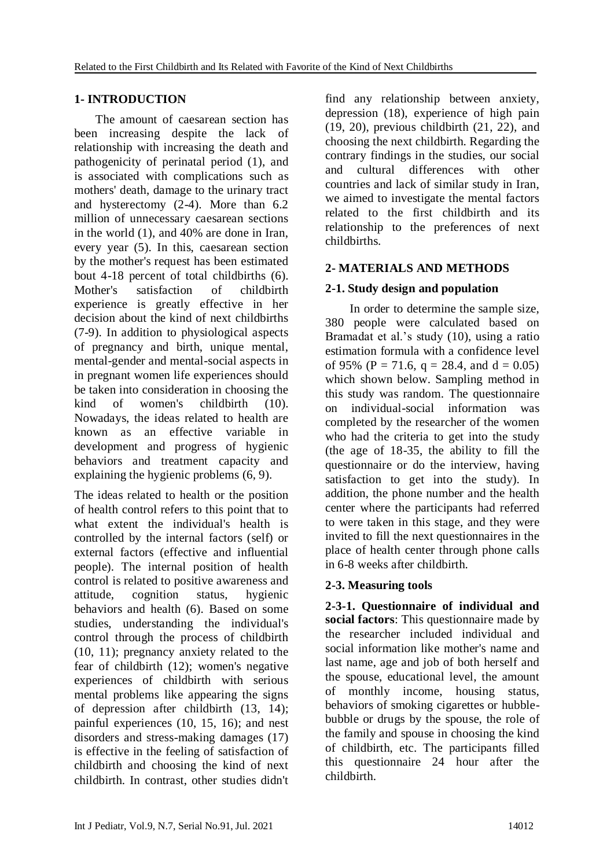# **1- INTRODUCTION**

 The amount of caesarean section has been increasing despite the lack of relationship with increasing the death and pathogenicity of perinatal period (1), and is associated with complications such as mothers' death, damage to the urinary tract and hysterectomy (2-4). More than 6.2 million of unnecessary caesarean sections in the world (1), and 40% are done in Iran, every year (5). In this, caesarean section by the mother's request has been estimated bout 4-18 percent of total childbirths (6). Mother's satisfaction of childbirth experience is greatly effective in her decision about the kind of next childbirths (7-9). In addition to physiological aspects of pregnancy and birth, unique mental, mental-gender and mental-social aspects in in pregnant women life experiences should be taken into consideration in choosing the kind of women's childbirth (10). Nowadays, the ideas related to health are known as an effective variable in development and progress of hygienic behaviors and treatment capacity and explaining the hygienic problems (6, 9).

The ideas related to health or the position of health control refers to this point that to what extent the individual's health is controlled by the internal factors (self) or external factors (effective and influential people). The internal position of health control is related to positive awareness and attitude, cognition status, hygienic behaviors and health (6). Based on some studies, understanding the individual's control through the process of childbirth (10, 11); pregnancy anxiety related to the fear of childbirth (12); women's negative experiences of childbirth with serious mental problems like appearing the signs of depression after childbirth (13, 14); painful experiences (10, 15, 16); and nest disorders and stress-making damages (17) is effective in the feeling of satisfaction of childbirth and choosing the kind of next childbirth. In contrast, other studies didn't

find any relationship between anxiety, depression (18), experience of high pain (19, 20), previous childbirth (21, 22), and choosing the next childbirth. Regarding the contrary findings in the studies, our social and cultural differences with other countries and lack of similar study in Iran, we aimed to investigate the mental factors related to the first childbirth and its relationship to the preferences of next childbirths.

# **2- MATERIALS AND METHODS**

# **2-1. Study design and population**

 In order to determine the sample size, 380 people were calculated based on Bramadat et al.'s study (10), using a ratio estimation formula with a confidence level of 95% (P = 71.6, q = 28.4, and  $d = 0.05$ ) which shown below. Sampling method in this study was random. The questionnaire on individual-social information was completed by the researcher of the women who had the criteria to get into the study (the age of 18-35, the ability to fill the questionnaire or do the interview, having satisfaction to get into the study). In addition, the phone number and the health center where the participants had referred to were taken in this stage, and they were invited to fill the next questionnaires in the place of health center through phone calls in 6-8 weeks after childbirth.

# **2-3. Measuring tools**

**2-3-1. Questionnaire of individual and social factors**: This questionnaire made by the researcher included individual and social information like mother's name and last name, age and job of both herself and the spouse, educational level, the amount of monthly income, housing status, behaviors of smoking cigarettes or hubblebubble or drugs by the spouse, the role of the family and spouse in choosing the kind of childbirth, etc. The participants filled this questionnaire 24 hour after the childbirth.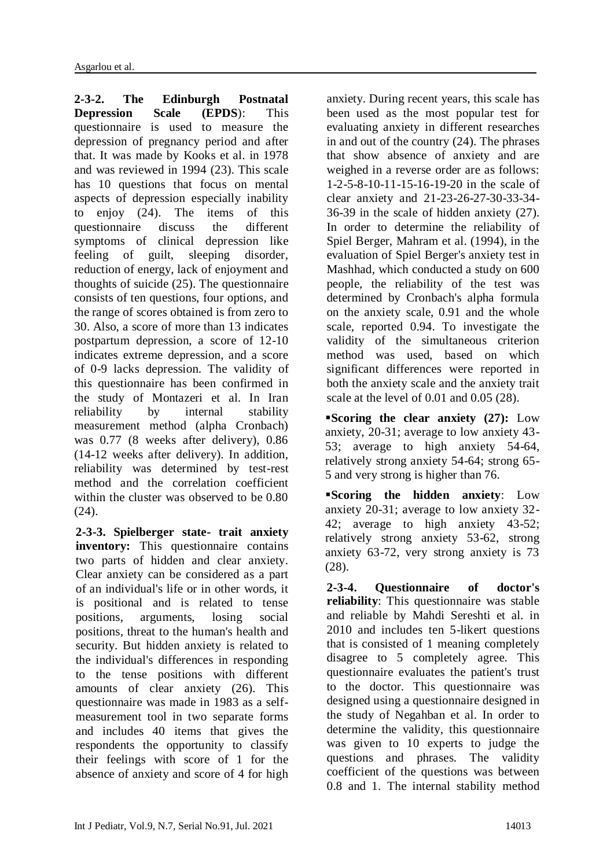**2-3-2. The Edinburgh Postnatal Depression Scale (EPDS**): This questionnaire is used to measure the depression of pregnancy period and after that. It was made by Kooks et al. in 1978 and was reviewed in 1994 (23). This scale has 10 questions that focus on mental aspects of depression especially inability to enjoy (24). The items of this questionnaire discuss the different symptoms of clinical depression like<br>feeling of guilt, sleeping disorder, of guilt, sleeping disorder, reduction of energy, lack of enjoyment and thoughts of suicide (25). The questionnaire consists of ten questions, four options, and the range of scores obtained is from zero to 30. Also, a score of more than 13 indicates postpartum depression, a score of 12-10 indicates extreme depression, and a score of 0-9 lacks depression. The validity of this questionnaire has been confirmed in the study of Montazeri et al. In Iran reliability by internal stability measurement method (alpha Cronbach) was 0.77 (8 weeks after delivery), 0.86 (14-12 weeks after delivery). In addition, reliability was determined by test-rest method and the correlation coefficient within the cluster was observed to be 0.80 (24).

**2-3-3. Spielberger state- trait anxiety inventory:** This questionnaire contains two parts of hidden and clear anxiety. Clear anxiety can be considered as a part of an individual's life or in other words, it is positional and is related to tense positions, arguments, losing social positions, threat to the human's health and security. But hidden anxiety is related to the individual's differences in responding to the tense positions with different amounts of clear anxiety (26). This questionnaire was made in 1983 as a selfmeasurement tool in two separate forms and includes 40 items that gives the respondents the opportunity to classify their feelings with score of 1 for the absence of anxiety and score of 4 for high anxiety. During recent years, this scale has been used as the most popular test for evaluating anxiety in different researches in and out of the country (24). The phrases that show absence of anxiety and are weighed in a reverse order are as follows: 1-2-5-8-10-11-15-16-19-20 in the scale of clear anxiety and 21-23-26-27-30-33-34- 36-39 in the scale of hidden anxiety (27). In order to determine the reliability of Spiel Berger, Mahram et al. (1994), in the evaluation of Spiel Berger's anxiety test in Mashhad, which conducted a study on 600 people, the reliability of the test was determined by Cronbach's alpha formula on the anxiety scale, 0.91 and the whole scale, reported 0.94. To investigate the validity of the simultaneous criterion method was used, based on which significant differences were reported in both the anxiety scale and the anxiety trait scale at the level of 0.01 and 0.05 (28).

**Scoring the clear anxiety (27):** Low anxiety, 20-31; average to low anxiety 43- 53; average to high anxiety 54-64, relatively strong anxiety 54-64; strong 65- 5 and very strong is higher than 76.

**Scoring the hidden anxiety**: Low anxiety 20-31; average to low anxiety 32- 42; average to high anxiety 43-52; relatively strong anxiety 53-62, strong anxiety 63-72, very strong anxiety is 73 (28).

**2-3-4. Questionnaire of doctor's reliability**: This questionnaire was stable and reliable by Mahdi Sereshti et al. in 2010 and includes ten 5-likert questions that is consisted of 1 meaning completely disagree to 5 completely agree. This questionnaire evaluates the patient's trust to the doctor. This questionnaire was designed using a questionnaire designed in the study of Negahban et al. In order to determine the validity, this questionnaire was given to 10 experts to judge the questions and phrases. The validity coefficient of the questions was between 0.8 and 1. The internal stability method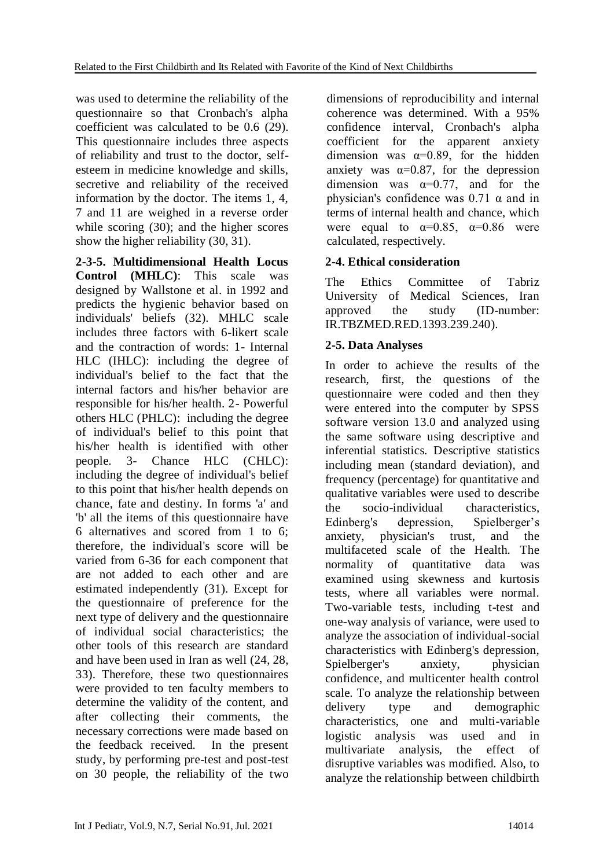was used to determine the reliability of the questionnaire so that Cronbach's alpha coefficient was calculated to be 0.6 (29). This questionnaire includes three aspects of reliability and trust to the doctor, selfesteem in medicine knowledge and skills, secretive and reliability of the received information by the doctor. The items 1, 4, 7 and 11 are weighed in a reverse order while scoring (30); and the higher scores show the higher reliability (30, 31).

**2-3-5. Multidimensional Health Locus Control (MHLC)**: This scale was designed by Wallstone et al. in 1992 and predicts the hygienic behavior based on individuals' beliefs (32). MHLC scale includes three factors with 6-likert scale and the contraction of words: 1- Internal HLC (IHLC): including the degree of individual's belief to the fact that the internal factors and his/her behavior are responsible for his/her health. 2- Powerful others HLC (PHLC): including the degree of individual's belief to this point that his/her health is identified with other people. 3- Chance HLC (CHLC): including the degree of individual's belief to this point that his/her health depends on chance, fate and destiny. In forms 'a' and 'b' all the items of this questionnaire have 6 alternatives and scored from 1 to 6; therefore, the individual's score will be varied from 6-36 for each component that are not added to each other and are estimated independently (31). Except for the questionnaire of preference for the next type of delivery and the questionnaire of individual social characteristics; the other tools of this research are standard and have been used in Iran as well (24, 28, 33). Therefore, these two questionnaires were provided to ten faculty members to determine the validity of the content, and after collecting their comments, the necessary corrections were made based on the feedback received. In the present study, by performing pre-test and post-test on 30 people, the reliability of the two dimensions of reproducibility and internal coherence was determined. With a 95% confidence interval, Cronbach's alpha coefficient for the apparent anxiety dimension was  $\alpha=0.89$ , for the hidden anxiety was  $\alpha=0.87$ , for the depression dimension was  $\alpha=0.77$ , and for the physician's confidence was  $0.71 \alpha$  and in terms of internal health and chance, which were equal to  $\alpha=0.85$ ,  $\alpha=0.86$  were calculated, respectively.

# **2-4. Ethical consideration**

The Ethics Committee of Tabriz University of Medical Sciences, Iran approved the study (ID-number: IR.TBZMED.RED.1393.239.240).

# **2-5. Data Analyses**

In order to achieve the results of the research, first, the questions of the questionnaire were coded and then they were entered into the computer by SPSS software version 13.0 and analyzed using the same software using descriptive and inferential statistics. Descriptive statistics including mean (standard deviation), and frequency (percentage) for quantitative and qualitative variables were used to describe the socio-individual characteristics, Edinberg's depression, Spielberger's anxiety, physician's trust, and the multifaceted scale of the Health. The normality of quantitative data was examined using skewness and kurtosis tests, where all variables were normal. Two-variable tests, including t-test and one-way analysis of variance, were used to analyze the association of individual-social characteristics with Edinberg's depression, Spielberger's anxiety, physician confidence, and multicenter health control scale. To analyze the relationship between delivery type and demographic characteristics, one and multi-variable logistic analysis was used and in multivariate analysis, the effect of disruptive variables was modified. Also, to analyze the relationship between childbirth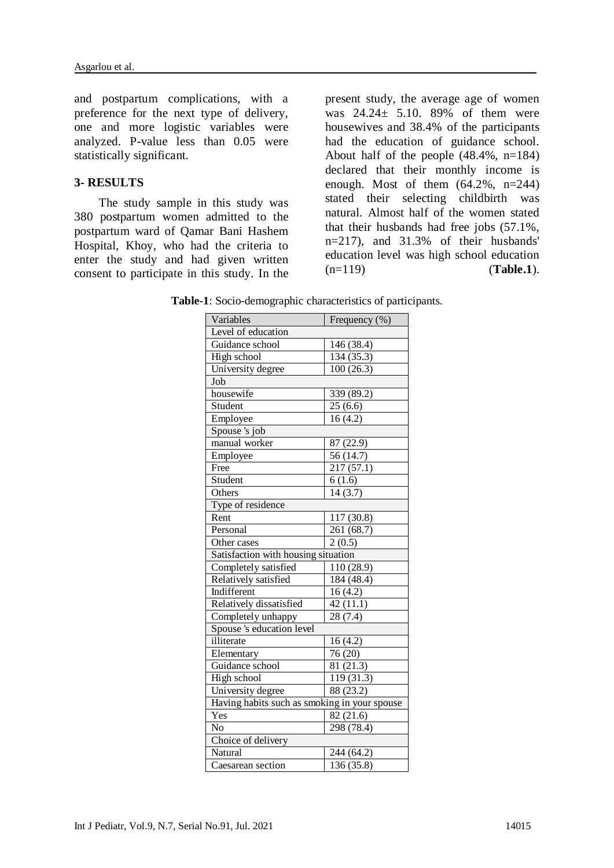and postpartum complications, with a preference for the next type of delivery, one and more logistic variables were analyzed. P-value less than 0.05 were statistically significant.

### **3- RESULTS**

 The study sample in this study was 380 postpartum women admitted to the postpartum ward of Qamar Bani Hashem Hospital, Khoy, who had the criteria to enter the study and had given written consent to participate in this study. In the

present study, the average age of women was 24.24± 5.10. 89% of them were housewives and 38.4% of the participants had the education of guidance school. About half of the people (48.4%, n=184) declared that their monthly income is enough. Most of them  $(64.2\% , n=244)$ stated their selecting childbirth was natural. Almost half of the women stated that their husbands had free jobs (57.1%, n=217), and 31.3% of their husbands' education level was high school education (n=119) (**Table.1**).

**Table-1**: Socio-demographic characteristics of participants.

| Variables                                    | Frequency (%)           |  |  |  |  |
|----------------------------------------------|-------------------------|--|--|--|--|
| Level of education                           |                         |  |  |  |  |
| Guidance school                              | 146 (38.4)              |  |  |  |  |
| High school                                  | 134 (35.3)              |  |  |  |  |
| University degree                            | $\overline{100}$ (26.3) |  |  |  |  |
| Job                                          |                         |  |  |  |  |
| housewife                                    | 339 (89.2)              |  |  |  |  |
| Student                                      | 25(6.6)                 |  |  |  |  |
| Employee                                     | 16(4.2)                 |  |  |  |  |
| Spouse 's job                                |                         |  |  |  |  |
| manual worker                                | 87 (22.9)               |  |  |  |  |
| Employee                                     | 56 (14.7)               |  |  |  |  |
| Free                                         | 217 (57.1)              |  |  |  |  |
| Student                                      | $\frac{1}{6}$ (1.6)     |  |  |  |  |
| Others                                       | 14(3.7)                 |  |  |  |  |
| Type of residence                            |                         |  |  |  |  |
| Rent                                         | 117 (30.8)              |  |  |  |  |
| Personal                                     | 261 (68.7)              |  |  |  |  |
| Other cases                                  | 2(0.5)                  |  |  |  |  |
| Satisfaction with housing situation          |                         |  |  |  |  |
| Completely satisfied                         | 110 (28.9)              |  |  |  |  |
| Relatively satisfied                         | 184 (48.4)              |  |  |  |  |
| Indifferent                                  | 16(4.2)                 |  |  |  |  |
| Relatively dissatisfied                      | 42(11.1)                |  |  |  |  |
| Completely unhappy                           | 28 (7.4)                |  |  |  |  |
| Spouse 's education level                    |                         |  |  |  |  |
| illiterate                                   | 16(4.2)                 |  |  |  |  |
| Elementary                                   | 76 (20)                 |  |  |  |  |
| Guidance school                              | 81 (21.3)               |  |  |  |  |
| High school                                  | 119 (31.3)              |  |  |  |  |
| University degree                            | 88 (23.2)               |  |  |  |  |
| Having habits such as smoking in your spouse |                         |  |  |  |  |
| Yes                                          | 82 (21.6)               |  |  |  |  |
| No                                           | 298 (78.4)              |  |  |  |  |
| Choice of delivery                           |                         |  |  |  |  |
| Natural                                      | 244 (64.2)              |  |  |  |  |
| Caesarean section                            | 136 (35.8)              |  |  |  |  |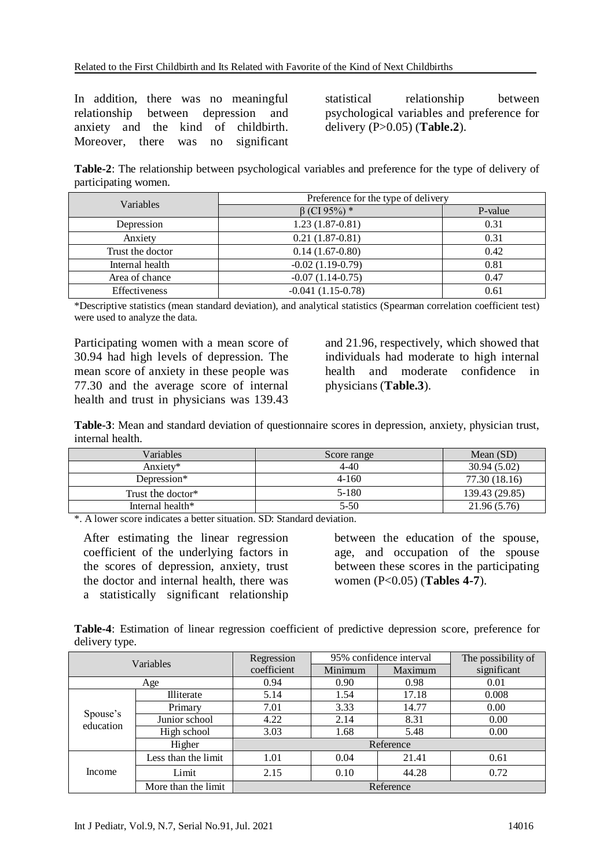In addition, there was no meaningful relationship between depression and anxiety and the kind of childbirth. Moreover, there was no significant

statistical relationship between psychological variables and preference for delivery (P>0.05) (**Table.2**).

**Table-2**: The relationship between psychological variables and preference for the type of delivery of participating women.

| Variables            | Preference for the type of delivery |         |  |  |
|----------------------|-------------------------------------|---------|--|--|
|                      | $\beta$ (CI 95%) *                  | P-value |  |  |
| Depression           | $1.23(1.87-0.81)$                   | 0.31    |  |  |
| Anxiety              | $0.21(1.87-0.81)$                   | 0.31    |  |  |
| Trust the doctor     | $0.14(1.67-0.80)$                   | 0.42    |  |  |
| Internal health      | $-0.02(1.19-0.79)$                  | 0.81    |  |  |
| Area of chance       | $-0.07(1.14-0.75)$                  | 0.47    |  |  |
| <b>Effectiveness</b> | $-0.041(1.15-0.78)$                 | 0.61    |  |  |

\*Descriptive statistics (mean standard deviation), and analytical statistics (Spearman correlation coefficient test) were used to analyze the data.

Participating women with a mean score of 30.94 had high levels of depression. The mean score of anxiety in these people was 77.30 and the average score of internal health and trust in physicians was 139.43

and 21.96, respectively, which showed that individuals had moderate to high internal health and moderate confidence in physicians (**Table.3**).

**Table-3**: Mean and standard deviation of questionnaire scores in depression, anxiety, physician trust, internal health.

| Variables         | Score range | Mean $(SD)$    |
|-------------------|-------------|----------------|
| Anxiety*          | 4-40        | 30.94(5.02)    |
| Depression*       | $4 - 160$   | 77.30 (18.16)  |
| Trust the doctor* | 5-180       | 139.43 (29.85) |
| Internal health*  | 5-50        | 21.96 (5.76)   |

\*. A lower score indicates a better situation. SD: Standard deviation.

After estimating the linear regression coefficient of the underlying factors in the scores of depression, anxiety, trust the doctor and internal health, there was a statistically significant relationship

between the education of the spouse, age, and occupation of the spouse between these scores in the participating women (P<0.05) (**Tables 4-7**).

**Table-4**: Estimation of linear regression coefficient of predictive depression score, preference for delivery type.

| Variables             |                     | 95% confidence interval<br>Regression |         |         | The possibility of |
|-----------------------|---------------------|---------------------------------------|---------|---------|--------------------|
|                       |                     | coefficient                           | Minimum | Maximum | significant        |
| Age                   |                     | 0.94                                  | 0.90    | 0.98    | 0.01               |
|                       | <b>Illiterate</b>   | 5.14                                  | 1.54    | 17.18   | 0.008              |
| Spouse's<br>education | Primary             | 7.01                                  | 3.33    | 14.77   | 0.00               |
|                       | Junior school       | 4.22                                  | 2.14    | 8.31    | 0.00               |
|                       | High school         | 3.03                                  | 1.68    | 5.48    | 0.00               |
|                       | Higher              | Reference                             |         |         |                    |
| Income                | Less than the limit | 1.01                                  | 0.04    | 21.41   | 0.61               |
|                       | Limit               | 2.15                                  | 0.10    | 44.28   | 0.72               |
|                       | More than the limit | Reference                             |         |         |                    |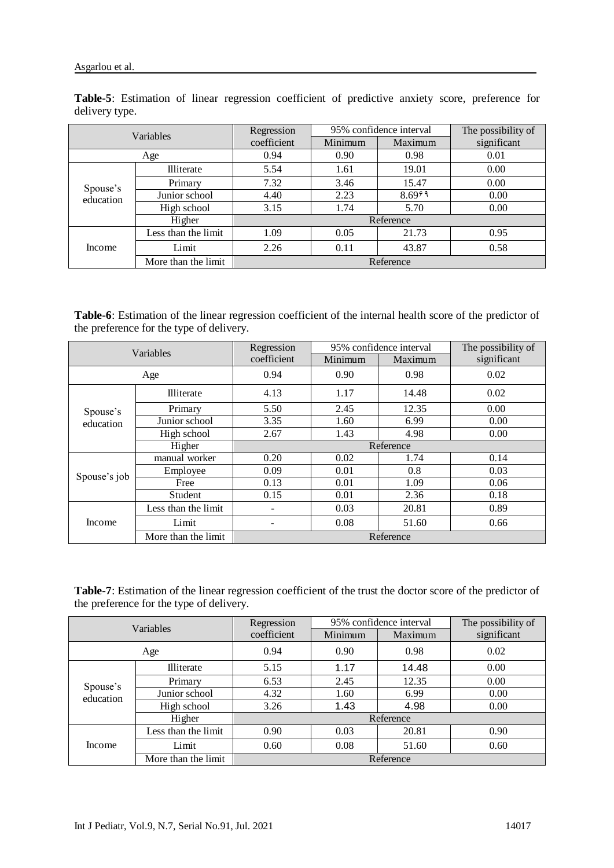| $u_{\text{VII}}$ , $v_1$ , $v_2$ , $v_3$ |                     |             |                         |                      |                    |
|------------------------------------------|---------------------|-------------|-------------------------|----------------------|--------------------|
| Variables                                |                     | Regression  | 95% confidence interval |                      | The possibility of |
|                                          |                     | coefficient | Minimum                 | Maximum              | significant        |
|                                          | Age                 | 0.94        | 0.90<br>0.98            |                      | 0.01               |
|                                          | Illiterate          | 5.54        | 1.61                    | 19.01                | 0.00               |
| Spouse's<br>education                    | Primary             | 7.32        | 3.46                    | 15.47                | 0.00               |
|                                          | Junior school       | 4.40        | 2.23                    | $8.69$ <sup>29</sup> | 0.00               |
|                                          | High school         | 3.15        | 1.74                    | 5.70                 | 0.00               |
|                                          | Higher              | Reference   |                         |                      |                    |
| Income                                   | Less than the limit | 1.09        | 0.05                    | 21.73                | 0.95               |
|                                          | Limit               | 2.26        | 0.11                    | 43.87                | 0.58               |
| More than the limit                      |                     |             |                         | Reference            |                    |

**Table-5**: Estimation of linear regression coefficient of predictive anxiety score, preference for delivery type.

**Table-6**: Estimation of the linear regression coefficient of the internal health score of the predictor of the preference for the type of delivery.

| Variables    |                     | Regression  | 95% confidence interval |         | The possibility of |  |
|--------------|---------------------|-------------|-------------------------|---------|--------------------|--|
|              |                     | coefficient | Minimum                 | Maximum | significant        |  |
| Age          |                     | 0.94        | 0.90                    | 0.98    | 0.02               |  |
|              | Illiterate          | 4.13        | 1.17                    | 14.48   | 0.02               |  |
| Spouse's     | Primary             | 5.50        | 2.45                    | 12.35   | 0.00               |  |
| education    | Junior school       | 3.35        | 1.60                    | 6.99    | 0.00               |  |
|              | High school         | 2.67        | 1.43                    | 4.98    | 0.00               |  |
|              | Higher              | Reference   |                         |         |                    |  |
|              | manual worker       | 0.20        | 0.02                    | 1.74    | 0.14               |  |
| Spouse's job | Employee            | 0.09        | 0.01                    | 0.8     | 0.03               |  |
|              | Free                | 0.13        | 0.01                    | 1.09    | 0.06               |  |
|              | Student             | 0.15        | 0.01                    | 2.36    | 0.18               |  |
| Income       | Less than the limit | -           | 0.03                    | 20.81   | 0.89               |  |
|              | Limit               | -           | 0.08                    | 51.60   | 0.66               |  |
|              | More than the limit | Reference   |                         |         |                    |  |

**Table-7**: Estimation of the linear regression coefficient of the trust the doctor score of the predictor of the preference for the type of delivery.

| Variables             |                     | Regression  | 95% confidence interval |         | The possibility of |
|-----------------------|---------------------|-------------|-------------------------|---------|--------------------|
|                       |                     | coefficient | Minimum                 | Maximum | significant        |
| Age                   |                     | 0.94        | 0.90                    | 0.98    | 0.02               |
|                       | Illiterate          | 5.15        | 1.17                    | 14.48   | 0.00               |
| Spouse's<br>education | Primary             | 6.53        | 2.45                    | 12.35   | 0.00               |
|                       | Junior school       | 4.32        | 1.60                    | 6.99    | 0.00               |
|                       | High school         | 3.26        | 1.43                    | 4.98    | 0.00               |
|                       | Higher              | Reference   |                         |         |                    |
| Income                | Less than the limit | 0.90        | 0.03                    | 20.81   | 0.90               |
|                       | Limit               | 0.60        | 0.08                    | 51.60   | 0.60               |
|                       | More than the limit | Reference   |                         |         |                    |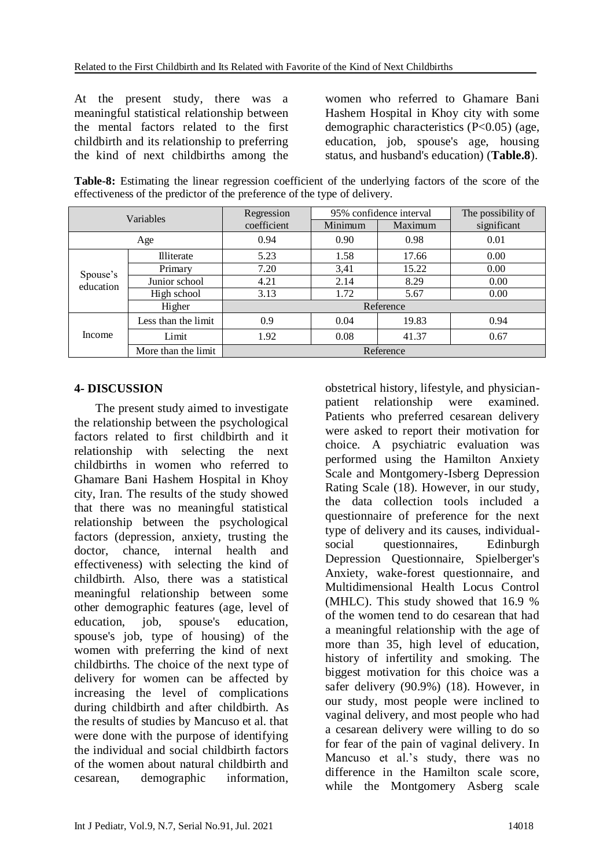At the present study, there was a meaningful statistical relationship between the mental factors related to the first childbirth and its relationship to preferring the kind of next childbirths among the women who referred to Ghamare Bani Hashem Hospital in Khoy city with some demographic characteristics (P<0.05) (age, education, job, spouse's age, housing status, and husband's education) (**Table.8**).

**Table-8:** Estimating the linear regression coefficient of the underlying factors of the score of the effectiveness of the predictor of the preference of the type of delivery.

| Variables             |                     | Regression  | 95% confidence interval |         | The possibility of |
|-----------------------|---------------------|-------------|-------------------------|---------|--------------------|
|                       |                     | coefficient | Minimum                 | Maximum | significant        |
|                       | 0.94<br>0.90<br>Age |             |                         | 0.98    | 0.01               |
|                       | <b>Illiterate</b>   | 5.23        | 1.58                    | 17.66   | 0.00               |
| Spouse's<br>education | Primary             | 7.20        | 3,41                    | 15.22   | 0.00               |
|                       | Junior school       | 4.21        | 2.14                    | 8.29    | 0.00               |
|                       | High school         | 3.13        | 1.72                    | 5.67    | 0.00               |
|                       | Higher              | Reference   |                         |         |                    |
| Income                | Less than the limit | 0.9         | 0.04                    | 19.83   | 0.94               |
|                       | Limit               | 1.92        | 0.08                    | 41.37   | 0.67               |
| More than the limit   |                     | Reference   |                         |         |                    |

# **4- DISCUSSION**

 The present study aimed to investigate the relationship between the psychological factors related to first childbirth and it relationship with selecting the next childbirths in women who referred to Ghamare Bani Hashem Hospital in Khoy city, Iran. The results of the study showed that there was no meaningful statistical relationship between the psychological factors (depression, anxiety, trusting the doctor, chance, internal health and effectiveness) with selecting the kind of childbirth. Also, there was a statistical meaningful relationship between some other demographic features (age, level of education, job, spouse's education, spouse's job, type of housing) of the women with preferring the kind of next childbirths. The choice of the next type of delivery for women can be affected by increasing the level of complications during childbirth and after childbirth. As the results of studies by Mancuso et al. that were done with the purpose of identifying the individual and social childbirth factors of the women about natural childbirth and cesarean, demographic information,

obstetrical history, lifestyle, and physicianpatient relationship were examined. Patients who preferred cesarean delivery were asked to report their motivation for choice. A psychiatric evaluation was performed using the Hamilton Anxiety Scale and Montgomery-Isberg Depression Rating Scale (18). However, in our study, the data collection tools included a questionnaire of preference for the next type of delivery and its causes, individualsocial questionnaires, Edinburgh Depression Questionnaire, Spielberger's Anxiety, wake-forest questionnaire, and Multidimensional Health Locus Control (MHLC). This study showed that 16.9 % of the women tend to do cesarean that had a meaningful relationship with the age of more than 35, high level of education, history of infertility and smoking. The biggest motivation for this choice was a safer delivery (90.9%) (18). However, in our study, most people were inclined to vaginal delivery, and most people who had a cesarean delivery were willing to do so for fear of the pain of vaginal delivery. In Mancuso et al.'s study, there was no difference in the Hamilton scale score, while the Montgomery Asberg scale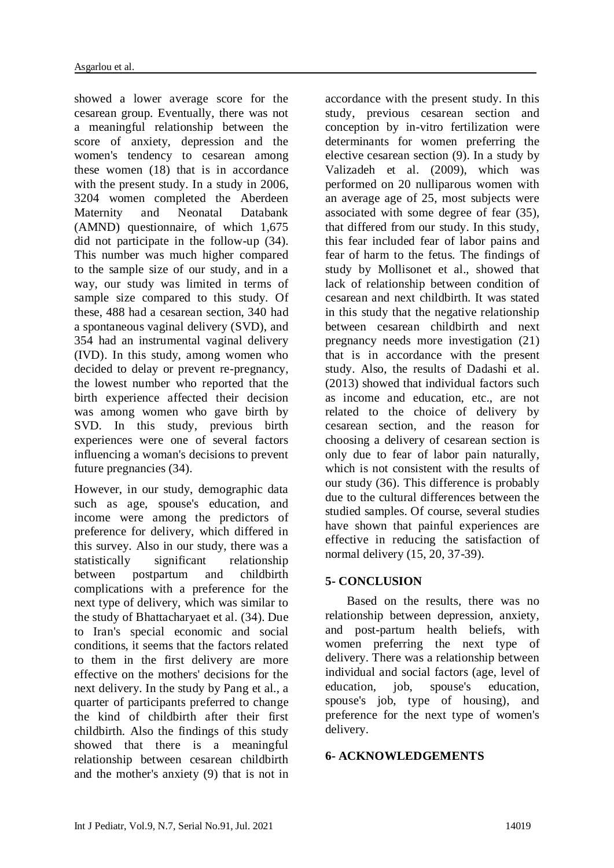showed a lower average score for the cesarean group. Eventually, there was not a meaningful relationship between the score of anxiety, depression and the women's tendency to cesarean among these women (18) that is in accordance with the present study. In a study in 2006, 3204 women completed the Aberdeen Maternity and Neonatal Databank (AMND) questionnaire, of which 1,675 did not participate in the follow-up (34). This number was much higher compared to the sample size of our study, and in a way, our study was limited in terms of sample size compared to this study. Of these, 488 had a cesarean section, 340 had a spontaneous vaginal delivery (SVD), and 354 had an instrumental vaginal delivery (IVD). In this study, among women who decided to delay or prevent re-pregnancy, the lowest number who reported that the birth experience affected their decision was among women who gave birth by SVD. In this study, previous birth experiences were one of several factors influencing a woman's decisions to prevent future pregnancies (34).

However, in our study, demographic data such as age, spouse's education, and income were among the predictors of preference for delivery, which differed in this survey. Also in our study, there was a statistically significant relationship between postpartum and childbirth complications with a preference for the next type of delivery, which was similar to the study of Bhattacharyaet et al. (34). Due to Iran's special economic and social conditions, it seems that the factors related to them in the first delivery are more effective on the mothers' decisions for the next delivery. In the study by Pang et al., a quarter of participants preferred to change the kind of childbirth after their first childbirth. Also the findings of this study showed that there is a meaningful relationship between cesarean childbirth and the mother's anxiety (9) that is not in

accordance with the present study. In this study, previous cesarean section and conception by in-vitro fertilization were determinants for women preferring the elective cesarean section (9). In a study by Valizadeh et al. (2009), which was performed on 20 nulliparous women with an average age of 25, most subjects were associated with some degree of fear (35), that differed from our study. In this study, this fear included fear of labor pains and fear of harm to the fetus. The findings of study by Mollisonet et al., showed that lack of relationship between condition of cesarean and next childbirth. It was stated in this study that the negative relationship between cesarean childbirth and next pregnancy needs more investigation (21) that is in accordance with the present study. Also, the results of Dadashi et al. (2013) showed that individual factors such as income and education, etc., are not related to the choice of delivery by cesarean section, and the reason for choosing a delivery of cesarean section is only due to fear of labor pain naturally, which is not consistent with the results of our study (36). This difference is probably due to the cultural differences between the studied samples. Of course, several studies have shown that painful experiences are effective in reducing the satisfaction of normal delivery (15, 20, 37-39).

# **5- CONCLUSION**

 Based on the results, there was no relationship between depression, anxiety, and post-partum health beliefs, with women preferring the next type of delivery. There was a relationship between individual and social factors (age, level of education, job, spouse's education, spouse's job, type of housing), and preference for the next type of women's delivery.

# **6- ACKNOWLEDGEMENTS**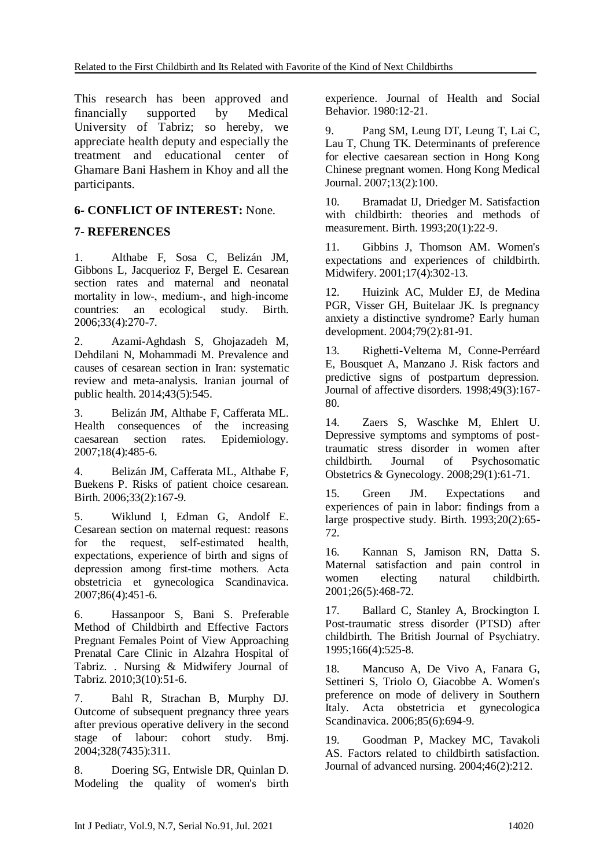This research has been approved and financially supported by Medical University of Tabriz; so hereby, we appreciate health deputy and especially the treatment and educational center of Ghamare Bani Hashem in Khoy and all the participants.

# **6- CONFLICT OF INTEREST:** None.

# **7- REFERENCES**

1. Althabe F, Sosa C, Belizán JM, Gibbons L, Jacquerioz F, Bergel E. Cesarean section rates and maternal and neonatal mortality in low-, medium-, and high-income countries: an ecological study. Birth. 2006;33(4):270-7.

2. Azami-Aghdash S, Ghojazadeh M, Dehdilani N, Mohammadi M. Prevalence and causes of cesarean section in Iran: systematic review and meta-analysis. Iranian journal of public health. 2014;43(5):545.

3. Belizán JM, Althabe F, Cafferata ML. Health consequences of the increasing caesarean section rates. Epidemiology. 2007;18(4):485-6.

4. Belizán JM, Cafferata ML, Althabe F, Buekens P. Risks of patient choice cesarean. Birth. 2006;33(2):167-9.

5. Wiklund I, Edman G, Andolf E. Cesarean section on maternal request: reasons for the request, self-estimated health, expectations, experience of birth and signs of depression among first-time mothers. Acta obstetricia et gynecologica Scandinavica. 2007;86(4):451-6.

6. Hassanpoor S, Bani S. Preferable Method of Childbirth and Effective Factors Pregnant Females Point of View Approaching Prenatal Care Clinic in Alzahra Hospital of Tabriz. . Nursing & Midwifery Journal of Tabriz. 2010;3(10):51-6.

7. Bahl R, Strachan B, Murphy DJ. Outcome of subsequent pregnancy three years after previous operative delivery in the second stage of labour: cohort study. Bmj. 2004;328(7435):311.

8. Doering SG, Entwisle DR, Quinlan D. Modeling the quality of women's birth experience. Journal of Health and Social Behavior. 1980:12-21.

9. Pang SM, Leung DT, Leung T, Lai C, Lau T, Chung TK. Determinants of preference for elective caesarean section in Hong Kong Chinese pregnant women. Hong Kong Medical Journal. 2007;13(2):100.

10. Bramadat IJ, Driedger M. Satisfaction with childbirth: theories and methods of measurement. Birth. 1993;20(1):22-9.

11. Gibbins J, Thomson AM. Women's expectations and experiences of childbirth. Midwifery. 2001;17(4):302-13.

12. Huizink AC, Mulder EJ, de Medina PGR, Visser GH, Buitelaar JK. Is pregnancy anxiety a distinctive syndrome? Early human development. 2004;79(2):81-91.

13. Righetti-Veltema M, Conne-Perréard E, Bousquet A, Manzano J. Risk factors and predictive signs of postpartum depression. Journal of affective disorders. 1998;49(3):167- 80.

14. Zaers S, Waschke M, Ehlert U. Depressive symptoms and symptoms of posttraumatic stress disorder in women after<br>childbirth. Journal of Psychosomatic Journal of Psychosomatic Obstetrics & Gynecology. 2008;29(1):61-71.

15. Green JM. Expectations and experiences of pain in labor: findings from a large prospective study. Birth. 1993;20(2):65- 72.

16. Kannan S, Jamison RN, Datta S. Maternal satisfaction and pain control in women electing natural childbirth. 2001;26(5):468-72.

17. Ballard C, Stanley A, Brockington I. Post-traumatic stress disorder (PTSD) after childbirth. The British Journal of Psychiatry. 1995;166(4):525-8.

18. Mancuso A, De Vivo A, Fanara G, Settineri S, Triolo O, Giacobbe A. Women's preference on mode of delivery in Southern Italy. Acta obstetricia et gynecologica Scandinavica. 2006;85(6):694-9.

19. Goodman P, Mackey MC, Tavakoli AS. Factors related to childbirth satisfaction. Journal of advanced nursing. 2004;46(2):212.